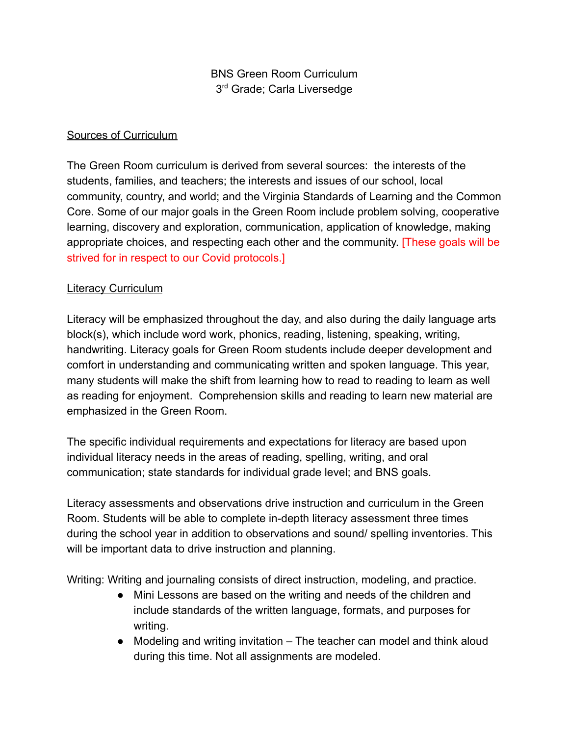## BNS Green Room Curriculum 3<sup>rd</sup> Grade; Carla Liversedge

#### Sources of Curriculum

The Green Room curriculum is derived from several sources: the interests of the students, families, and teachers; the interests and issues of our school, local community, country, and world; and the Virginia Standards of Learning and the Common Core. Some of our major goals in the Green Room include problem solving, cooperative learning, discovery and exploration, communication, application of knowledge, making appropriate choices, and respecting each other and the community. [These goals will be strived for in respect to our Covid protocols.]

#### Literacy Curriculum

Literacy will be emphasized throughout the day, and also during the daily language arts block(s), which include word work, phonics, reading, listening, speaking, writing, handwriting. Literacy goals for Green Room students include deeper development and comfort in understanding and communicating written and spoken language. This year, many students will make the shift from learning how to read to reading to learn as well as reading for enjoyment. Comprehension skills and reading to learn new material are emphasized in the Green Room.

The specific individual requirements and expectations for literacy are based upon individual literacy needs in the areas of reading, spelling, writing, and oral communication; state standards for individual grade level; and BNS goals.

Literacy assessments and observations drive instruction and curriculum in the Green Room. Students will be able to complete in-depth literacy assessment three times during the school year in addition to observations and sound/ spelling inventories. This will be important data to drive instruction and planning.

Writing: Writing and journaling consists of direct instruction, modeling, and practice.

- Mini Lessons are based on the writing and needs of the children and include standards of the written language, formats, and purposes for writing.
- Modeling and writing invitation The teacher can model and think aloud during this time. Not all assignments are modeled.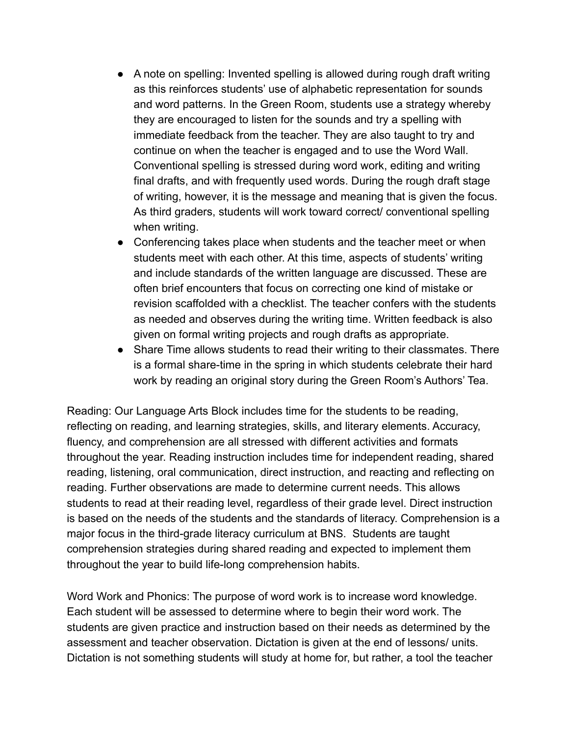- A note on spelling: Invented spelling is allowed during rough draft writing as this reinforces students' use of alphabetic representation for sounds and word patterns. In the Green Room, students use a strategy whereby they are encouraged to listen for the sounds and try a spelling with immediate feedback from the teacher. They are also taught to try and continue on when the teacher is engaged and to use the Word Wall. Conventional spelling is stressed during word work, editing and writing final drafts, and with frequently used words. During the rough draft stage of writing, however, it is the message and meaning that is given the focus. As third graders, students will work toward correct/ conventional spelling when writing.
- Conferencing takes place when students and the teacher meet or when students meet with each other. At this time, aspects of students' writing and include standards of the written language are discussed. These are often brief encounters that focus on correcting one kind of mistake or revision scaffolded with a checklist. The teacher confers with the students as needed and observes during the writing time. Written feedback is also given on formal writing projects and rough drafts as appropriate.
- Share Time allows students to read their writing to their classmates. There is a formal share-time in the spring in which students celebrate their hard work by reading an original story during the Green Room's Authors' Tea.

Reading: Our Language Arts Block includes time for the students to be reading, reflecting on reading, and learning strategies, skills, and literary elements. Accuracy, fluency, and comprehension are all stressed with different activities and formats throughout the year. Reading instruction includes time for independent reading, shared reading, listening, oral communication, direct instruction, and reacting and reflecting on reading. Further observations are made to determine current needs. This allows students to read at their reading level, regardless of their grade level. Direct instruction is based on the needs of the students and the standards of literacy. Comprehension is a major focus in the third-grade literacy curriculum at BNS. Students are taught comprehension strategies during shared reading and expected to implement them throughout the year to build life-long comprehension habits.

Word Work and Phonics: The purpose of word work is to increase word knowledge. Each student will be assessed to determine where to begin their word work. The students are given practice and instruction based on their needs as determined by the assessment and teacher observation. Dictation is given at the end of lessons/ units. Dictation is not something students will study at home for, but rather, a tool the teacher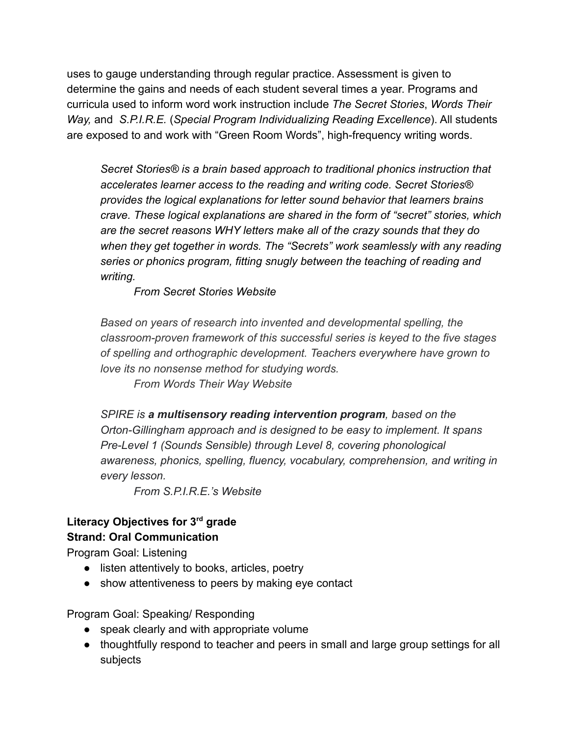uses to gauge understanding through regular practice. Assessment is given to determine the gains and needs of each student several times a year. Programs and curricula used to inform word work instruction include *The Secret Stories*, *Words Their Way,* and *S.P.I.R.E.* (*Special Program Individualizing Reading Excellence*). All students are exposed to and work with "Green Room Words", high-frequency writing words.

*Secret Stories® is a brain based approach to traditional phonics instruction that accelerates learner access to the reading and writing code. Secret Stories® provides the logical explanations for letter sound behavior that learners brains crave. These logical explanations are shared in the form of "secret" stories, which are the secret reasons WHY letters make all of the crazy sounds that they do when they get together in words. The "Secrets" work seamlessly with any reading series or phonics program, fitting snugly between the teaching of reading and writing.*

*From Secret Stories Website*

*Based on years of research into invented and developmental spelling, the classroom-proven framework of this successful series is keyed to the five stages of spelling and orthographic development. Teachers everywhere have grown to love its no nonsense method for studying words.*

*From Words Their Way Website*

*SPIRE is a multisensory reading intervention program, based on the Orton-Gillingham approach and is designed to be easy to implement. It spans Pre-Level 1 (Sounds Sensible) through Level 8, covering phonological awareness, phonics, spelling, fluency, vocabulary, comprehension, and writing in every lesson.*

*From S.P.I.R.E.'s Website*

#### **Literacy Objectives for 3rd grade Strand: Oral Communication**

Program Goal: Listening

- listen attentively to books, articles, poetry
- show attentiveness to peers by making eye contact

Program Goal: Speaking/ Responding

- speak clearly and with appropriate volume
- thoughtfully respond to teacher and peers in small and large group settings for all subjects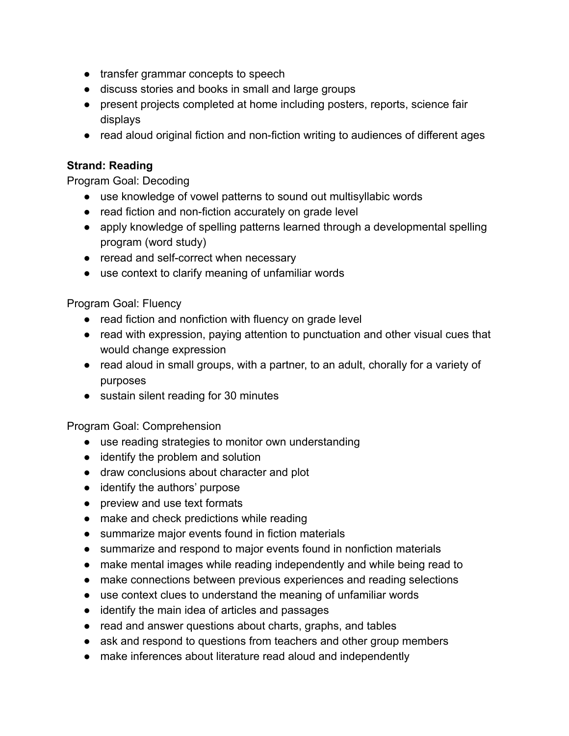- transfer grammar concepts to speech
- discuss stories and books in small and large groups
- present projects completed at home including posters, reports, science fair displays
- read aloud original fiction and non-fiction writing to audiences of different ages

#### **Strand: Reading**

Program Goal: Decoding

- use knowledge of vowel patterns to sound out multisyllabic words
- read fiction and non-fiction accurately on grade level
- apply knowledge of spelling patterns learned through a developmental spelling program (word study)
- reread and self-correct when necessary
- use context to clarify meaning of unfamiliar words

Program Goal: Fluency

- read fiction and nonfiction with fluency on grade level
- read with expression, paying attention to punctuation and other visual cues that would change expression
- read aloud in small groups, with a partner, to an adult, chorally for a variety of purposes
- sustain silent reading for 30 minutes

Program Goal: Comprehension

- use reading strategies to monitor own understanding
- identify the problem and solution
- draw conclusions about character and plot
- identify the authors' purpose
- preview and use text formats
- make and check predictions while reading
- summarize major events found in fiction materials
- summarize and respond to major events found in nonfiction materials
- make mental images while reading independently and while being read to
- make connections between previous experiences and reading selections
- use context clues to understand the meaning of unfamiliar words
- identify the main idea of articles and passages
- read and answer questions about charts, graphs, and tables
- ask and respond to questions from teachers and other group members
- make inferences about literature read aloud and independently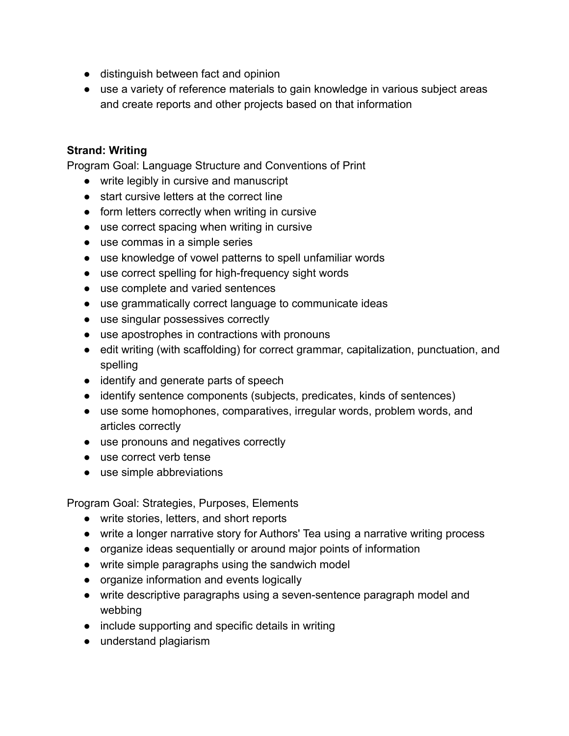- distinguish between fact and opinion
- use a variety of reference materials to gain knowledge in various subject areas and create reports and other projects based on that information

### **Strand: Writing**

Program Goal: Language Structure and Conventions of Print

- write legibly in cursive and manuscript
- start cursive letters at the correct line
- form letters correctly when writing in cursive
- use correct spacing when writing in cursive
- use commas in a simple series
- use knowledge of vowel patterns to spell unfamiliar words
- use correct spelling for high-frequency sight words
- use complete and varied sentences
- use grammatically correct language to communicate ideas
- use singular possessives correctly
- use apostrophes in contractions with pronouns
- edit writing (with scaffolding) for correct grammar, capitalization, punctuation, and spelling
- identify and generate parts of speech
- identify sentence components (subjects, predicates, kinds of sentences)
- use some homophones, comparatives, irregular words, problem words, and articles correctly
- use pronouns and negatives correctly
- use correct verb tense
- use simple abbreviations

Program Goal: Strategies, Purposes, Elements

- write stories, letters, and short reports
- write a longer narrative story for Authors' Tea using a narrative writing process
- organize ideas sequentially or around major points of information
- write simple paragraphs using the sandwich model
- organize information and events logically
- write descriptive paragraphs using a seven-sentence paragraph model and webbing
- include supporting and specific details in writing
- understand plagiarism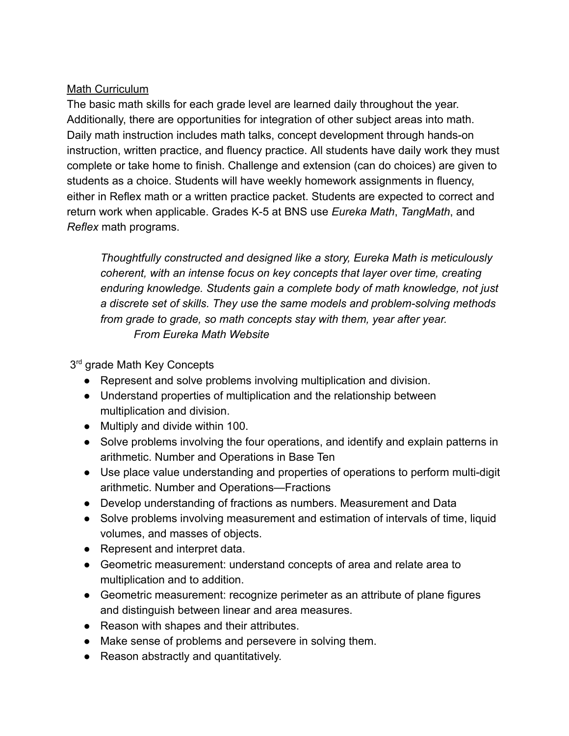## Math Curriculum

The basic math skills for each grade level are learned daily throughout the year. Additionally, there are opportunities for integration of other subject areas into math. Daily math instruction includes math talks, concept development through hands-on instruction, written practice, and fluency practice. All students have daily work they must complete or take home to finish. Challenge and extension (can do choices) are given to students as a choice. Students will have weekly homework assignments in fluency, either in Reflex math or a written practice packet. Students are expected to correct and return work when applicable. Grades K-5 at BNS use *Eureka Math*, *TangMath*, and *Reflex* math programs.

*Thoughtfully constructed and designed like a story, Eureka Math is meticulously coherent, with an intense focus on key concepts that layer over time, creating enduring knowledge. Students gain a complete body of math knowledge, not just a discrete set of skills. They use the same models and problem-solving methods from grade to grade, so math concepts stay with them, year after year. From Eureka Math Website*

3<sup>rd</sup> grade Math Key Concepts

- Represent and solve problems involving multiplication and division.
- Understand properties of multiplication and the relationship between multiplication and division.
- Multiply and divide within 100.
- Solve problems involving the four operations, and identify and explain patterns in arithmetic. Number and Operations in Base Ten
- Use place value understanding and properties of operations to perform multi-digit arithmetic. Number and Operations—Fractions
- Develop understanding of fractions as numbers. Measurement and Data
- Solve problems involving measurement and estimation of intervals of time, liquid volumes, and masses of objects.
- Represent and interpret data.
- Geometric measurement: understand concepts of area and relate area to multiplication and to addition.
- Geometric measurement: recognize perimeter as an attribute of plane figures and distinguish between linear and area measures.
- Reason with shapes and their attributes.
- Make sense of problems and persevere in solving them.
- Reason abstractly and quantitatively.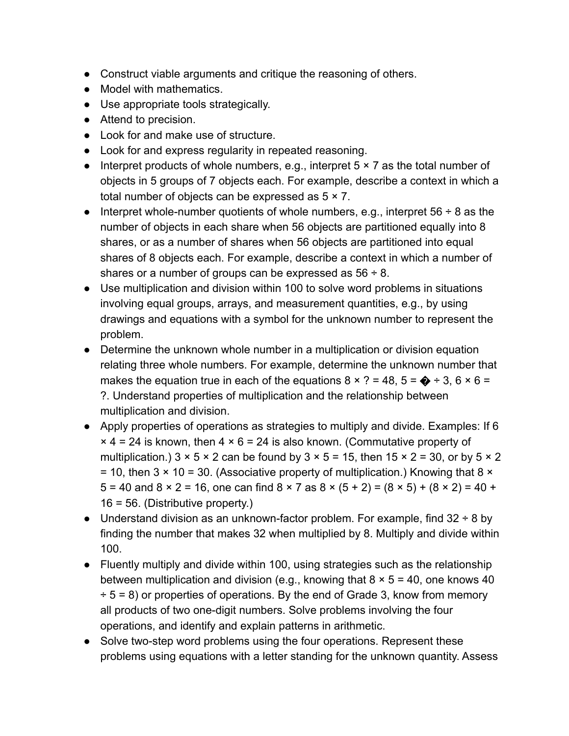- Construct viable arguments and critique the reasoning of others.
- Model with mathematics.
- Use appropriate tools strategically.
- Attend to precision.
- Look for and make use of structure.
- Look for and express regularity in repeated reasoning.
- Interpret products of whole numbers, e.g., interpret  $5 \times 7$  as the total number of objects in 5 groups of 7 objects each. For example, describe a context in which a total number of objects can be expressed as  $5 \times 7$ .
- Interpret whole-number quotients of whole numbers, e.g., interpret  $56 \div 8$  as the number of objects in each share when 56 objects are partitioned equally into 8 shares, or as a number of shares when 56 objects are partitioned into equal shares of 8 objects each. For example, describe a context in which a number of shares or a number of groups can be expressed as  $56 \div 8$ .
- Use multiplication and division within 100 to solve word problems in situations involving equal groups, arrays, and measurement quantities, e.g., by using drawings and equations with a symbol for the unknown number to represent the problem.
- Determine the unknown whole number in a multiplication or division equation relating three whole numbers. For example, determine the unknown number that makes the equation true in each of the equations  $8 \times ? = 48$ ,  $5 = \bigoplus$  ÷ 3, 6  $\times$  6 = ?. Understand properties of multiplication and the relationship between multiplication and division.
- Apply properties of operations as strategies to multiply and divide. Examples: If 6  $\times$  4 = 24 is known, then 4  $\times$  6 = 24 is also known. (Commutative property of multiplication.)  $3 \times 5 \times 2$  can be found by  $3 \times 5 = 15$ , then  $15 \times 2 = 30$ , or by  $5 \times 2$ = 10, then  $3 \times 10 = 30$ . (Associative property of multiplication.) Knowing that  $8 \times$  $5 = 40$  and  $8 \times 2 = 16$ , one can find  $8 \times 7$  as  $8 \times (5 + 2) = (8 \times 5) + (8 \times 2) = 40 +$ 16 = 56. (Distributive property.)
- Understand division as an unknown-factor problem. For example, find  $32 \div 8$  by finding the number that makes 32 when multiplied by 8. Multiply and divide within 100.
- Fluently multiply and divide within 100, using strategies such as the relationship between multiplication and division (e.g., knowing that  $8 \times 5 = 40$ , one knows 40  $\div$  5 = 8) or properties of operations. By the end of Grade 3, know from memory all products of two one-digit numbers. Solve problems involving the four operations, and identify and explain patterns in arithmetic.
- Solve two-step word problems using the four operations. Represent these problems using equations with a letter standing for the unknown quantity. Assess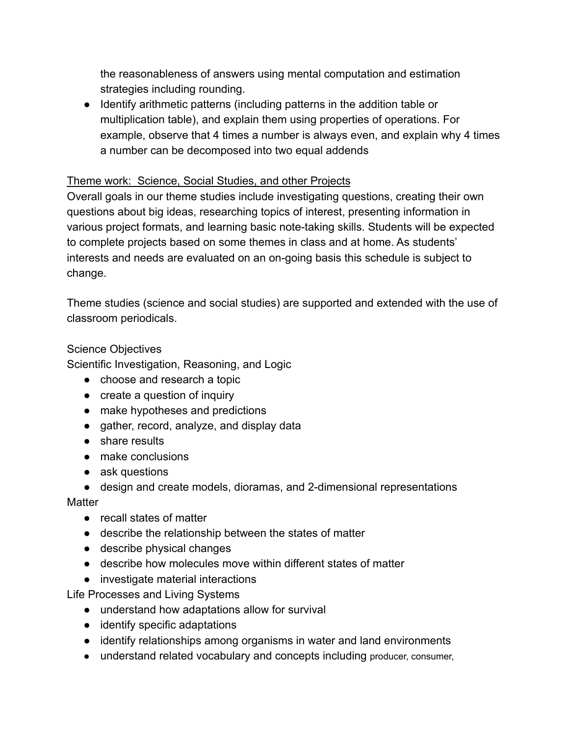the reasonableness of answers using mental computation and estimation strategies including rounding.

● Identify arithmetic patterns (including patterns in the addition table or multiplication table), and explain them using properties of operations. For example, observe that 4 times a number is always even, and explain why 4 times a number can be decomposed into two equal addends

## Theme work: Science, Social Studies, and other Projects

Overall goals in our theme studies include investigating questions, creating their own questions about big ideas, researching topics of interest, presenting information in various project formats, and learning basic note-taking skills. Students will be expected to complete projects based on some themes in class and at home. As students' interests and needs are evaluated on an on-going basis this schedule is subject to change.

Theme studies (science and social studies) are supported and extended with the use of classroom periodicals.

## Science Objectives

Scientific Investigation, Reasoning, and Logic

- choose and research a topic
- create a question of inquiry
- make hypotheses and predictions
- gather, record, analyze, and display data
- share results
- make conclusions
- ask questions
- design and create models, dioramas, and 2-dimensional representations

## **Matter**

- recall states of matter
- describe the relationship between the states of matter
- describe physical changes
- describe how molecules move within different states of matter
- investigate material interactions

Life Processes and Living Systems

- understand how adaptations allow for survival
- identify specific adaptations
- identify relationships among organisms in water and land environments
- understand related vocabulary and concepts including producer, consumer,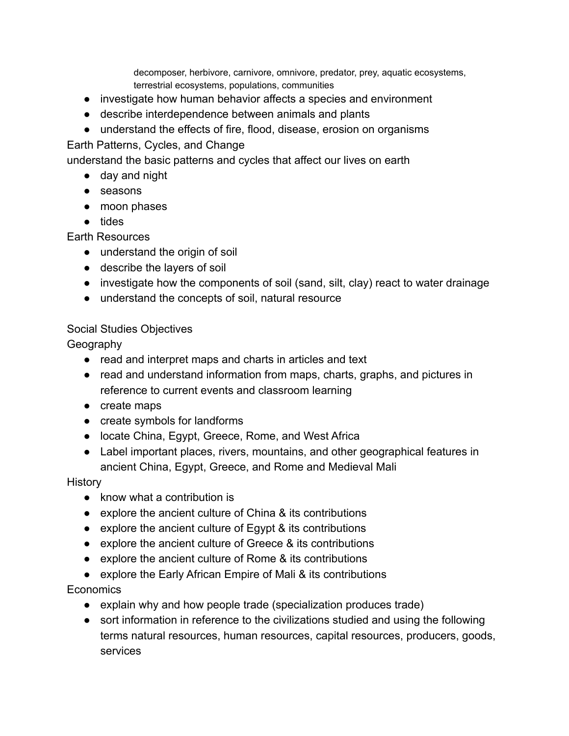decomposer, herbivore, carnivore, omnivore, predator, prey, aquatic ecosystems, terrestrial ecosystems, populations, communities

- investigate how human behavior affects a species and environment
- describe interdependence between animals and plants
- understand the effects of fire, flood, disease, erosion on organisms

### Earth Patterns, Cycles, and Change

understand the basic patterns and cycles that affect our lives on earth

- day and night
- seasons
- moon phases
- tides

### Earth Resources

- understand the origin of soil
- describe the layers of soil
- investigate how the components of soil (sand, silt, clay) react to water drainage
- understand the concepts of soil, natural resource

### Social Studies Objectives

**Geography** 

- read and interpret maps and charts in articles and text
- read and understand information from maps, charts, graphs, and pictures in reference to current events and classroom learning
- create maps
- create symbols for landforms
- locate China, Egypt, Greece, Rome, and West Africa
- Label important places, rivers, mountains, and other geographical features in ancient China, Egypt, Greece, and Rome and Medieval Mali

#### **History**

- know what a contribution is
- explore the ancient culture of China & its contributions
- explore the ancient culture of Egypt & its contributions
- explore the ancient culture of Greece & its contributions
- explore the ancient culture of Rome & its contributions
- explore the Early African Empire of Mali & its contributions

## Economics

- explain why and how people trade (specialization produces trade)
- sort information in reference to the civilizations studied and using the following terms natural resources, human resources, capital resources, producers, goods, services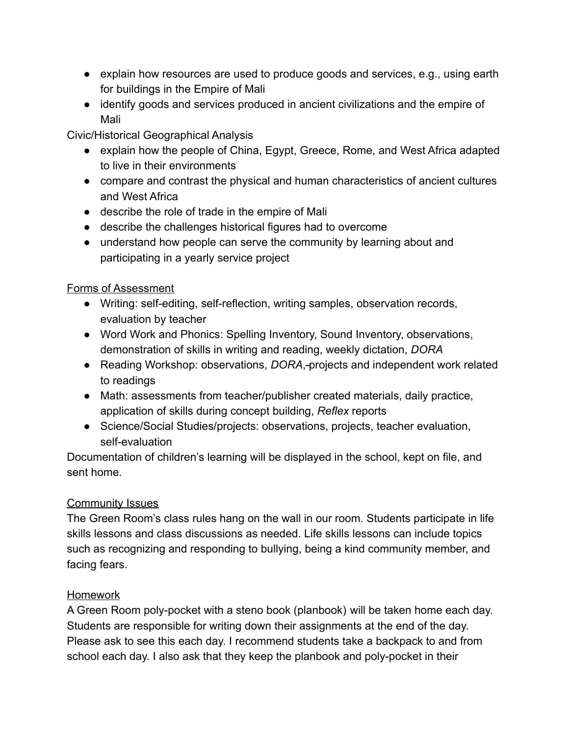- explain how resources are used to produce goods and services, e.g., using earth for buildings in the Empire of Mali
- identify goods and services produced in ancient civilizations and the empire of Mali

Civic/Historical Geographical Analysis

- explain how the people of China, Egypt, Greece, Rome, and West Africa adapted to live in their environments
- compare and contrast the physical and human characteristics of ancient cultures and West Africa
- describe the role of trade in the empire of Mali
- describe the challenges historical figures had to overcome
- understand how people can serve the community by learning about and participating in a yearly service project

# Forms of Assessment

- Writing: self-editing, self-reflection, writing samples, observation records, evaluation by teacher
- Word Work and Phonics: Spelling Inventory, Sound Inventory, observations, demonstration of skills in writing and reading, weekly dictation, *DORA*
- Reading Workshop: observations, *DORA*, projects and independent work related to readings
- Math: assessments from teacher/publisher created materials, daily practice, application of skills during concept building, *Reflex* reports
- Science/Social Studies/projects: observations, projects, teacher evaluation, self-evaluation

Documentation of children's learning will be displayed in the school, kept on file, and sent home.

# Community Issues

The Green Room's class rules hang on the wall in our room. Students participate in life skills lessons and class discussions as needed. Life skills lessons can include topics such as recognizing and responding to bullying, being a kind community member, and facing fears.

# Homework

A Green Room poly-pocket with a steno book (planbook) will be taken home each day. Students are responsible for writing down their assignments at the end of the day. Please ask to see this each day. I recommend students take a backpack to and from school each day. I also ask that they keep the planbook and poly-pocket in their